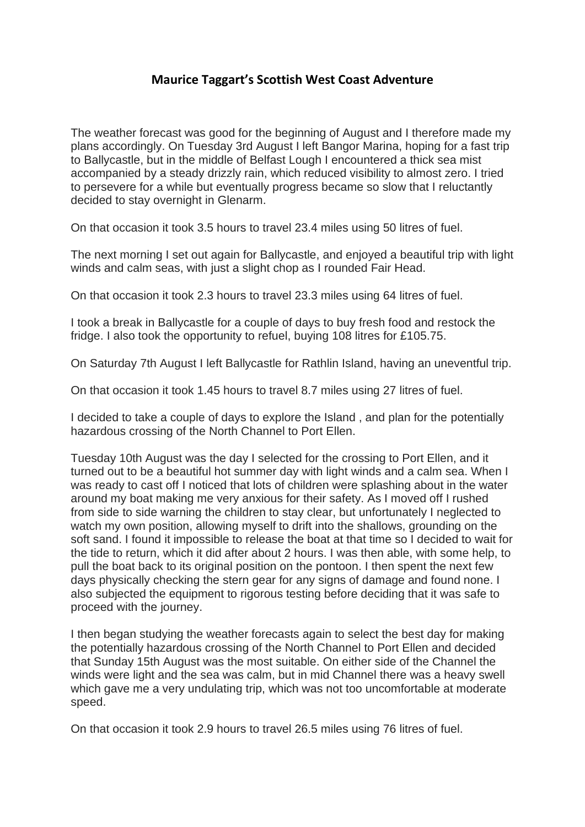## **Maurice Taggart's Scottish West Coast Adventure**

The weather forecast was good for the beginning of August and I therefore made my plans accordingly. On Tuesday 3rd August I left Bangor Marina, hoping for a fast trip to Ballycastle, but in the middle of Belfast Lough I encountered a thick sea mist accompanied by a steady drizzly rain, which reduced visibility to almost zero. I tried to persevere for a while but eventually progress became so slow that I reluctantly decided to stay overnight in Glenarm.

On that occasion it took 3.5 hours to travel 23.4 miles using 50 litres of fuel.

The next morning I set out again for Ballycastle, and enjoyed a beautiful trip with light winds and calm seas, with just a slight chop as I rounded Fair Head.

On that occasion it took 2.3 hours to travel 23.3 miles using 64 litres of fuel.

I took a break in Ballycastle for a couple of days to buy fresh food and restock the fridge. I also took the opportunity to refuel, buying 108 litres for £105.75.

On Saturday 7th August I left Ballycastle for Rathlin Island, having an uneventful trip.

On that occasion it took 1.45 hours to travel 8.7 miles using 27 litres of fuel.

I decided to take a couple of days to explore the Island , and plan for the potentially hazardous crossing of the North Channel to Port Ellen.

Tuesday 10th August was the day I selected for the crossing to Port Ellen, and it turned out to be a beautiful hot summer day with light winds and a calm sea. When I was ready to cast off I noticed that lots of children were splashing about in the water around my boat making me very anxious for their safety. As I moved off I rushed from side to side warning the children to stay clear, but unfortunately I neglected to watch my own position, allowing myself to drift into the shallows, grounding on the soft sand. I found it impossible to release the boat at that time so I decided to wait for the tide to return, which it did after about 2 hours. I was then able, with some help, to pull the boat back to its original position on the pontoon. I then spent the next few days physically checking the stern gear for any signs of damage and found none. I also subjected the equipment to rigorous testing before deciding that it was safe to proceed with the journey.

I then began studying the weather forecasts again to select the best day for making the potentially hazardous crossing of the North Channel to Port Ellen and decided that Sunday 15th August was the most suitable. On either side of the Channel the winds were light and the sea was calm, but in mid Channel there was a heavy swell which gave me a very undulating trip, which was not too uncomfortable at moderate speed.

On that occasion it took 2.9 hours to travel 26.5 miles using 76 litres of fuel.